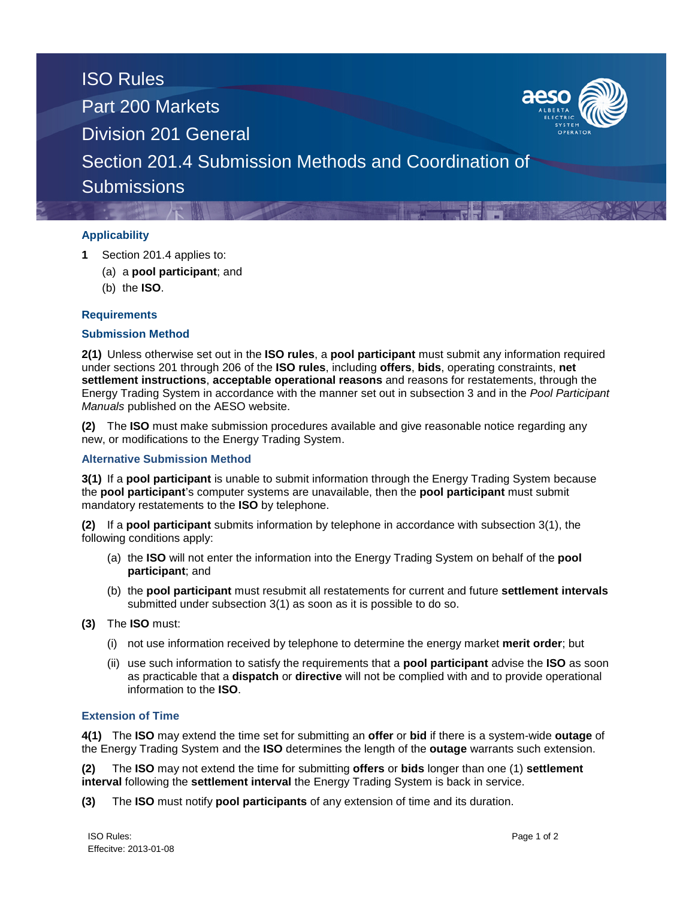

# **Applicability**

- **1** Section 201.4 applies to:
	- (a) a **pool participant**; and
	- (b) the **ISO**.

## **Requirements**

#### **Submission Method**

**2(1)** Unless otherwise set out in the **ISO rules**, a **pool participant** must submit any information required under sections 201 through 206 of the **ISO rules**, including **offers**, **bids**, operating constraints, **net settlement instructions**, **acceptable operational reasons** and reasons for restatements, through the Energy Trading System in accordance with the manner set out in subsection 3 and in the *Pool Participant Manuals* published on the AESO website.

**(2)** The **ISO** must make submission procedures available and give reasonable notice regarding any new, or modifications to the Energy Trading System.

#### **Alternative Submission Method**

**3(1)** If a **pool participant** is unable to submit information through the Energy Trading System because the **pool participant**'s computer systems are unavailable, then the **pool participant** must submit mandatory restatements to the **ISO** by telephone.

**(2)** If a **pool participant** submits information by telephone in accordance with subsection 3(1), the following conditions apply:

- (a) the **ISO** will not enter the information into the Energy Trading System on behalf of the **pool participant**; and
- (b) the **pool participant** must resubmit all restatements for current and future **settlement intervals** submitted under subsection 3(1) as soon as it is possible to do so.
- **(3)** The **ISO** must:
	- (i) not use information received by telephone to determine the energy market **merit order**; but
	- (ii) use such information to satisfy the requirements that a **pool participant** advise the **ISO** as soon as practicable that a **dispatch** or **directive** will not be complied with and to provide operational information to the **ISO**.

## **Extension of Time**

**4(1)** The **ISO** may extend the time set for submitting an **offer** or **bid** if there is a system-wide **outage** of the Energy Trading System and the **ISO** determines the length of the **outage** warrants such extension.

**(2)** The **ISO** may not extend the time for submitting **offers** or **bids** longer than one (1) **settlement interval** following the **settlement interval** the Energy Trading System is back in service.

**(3)** The **ISO** must notify **pool participants** of any extension of time and its duration.